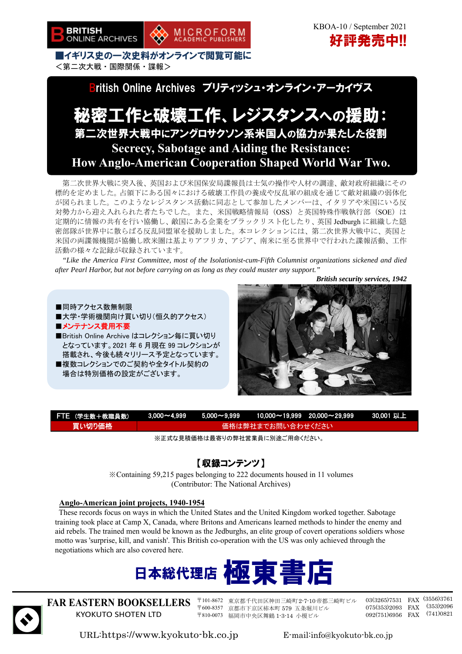

 KBOA-10 / September 2021 好評発売中!!

■イギリス史の一次史料がオンラインで閲覧可能に <第二次大戦・国際関係・諜報>

ritish Online Archives ブリティッシュ・オンライン・アーカイヴス

MICROFORM<br>ACADEMIC PUBLISHERS

## 秘密工作と破壊工作、レジスタンスへの援助: 第二次世界大戦中にアングロサクソン系米国人の協力が果たした役割 **Secrecy, Sabotage and Aiding the Resistance: How Anglo-American Cooperation Shaped World War Two.**

第二次世界大戦に突入後、英国および米国保安局諜報員は士気の操作や人材の調達、敵対政府組織にその 標的を定めました。占領下にある国々における破壊工作員の養成や反乱軍の組成を通じて敵対組織の弱体化 が図られました。このようなレジスタンス活動に同志として参加したメンバーは、イタリアや米国にいる反 対勢力から迎え入れられた者たちでした。また、米国戦略情報局 (OSS) と英国特殊作戦執行部 (SOE) は 定期的に情報の共有を行い協働し、敵国にある企業をブラックリスト化したり、英国 Jedburgh に組織した隠 密部隊が世界中に散らばる反乱同盟軍を援助しました。本コレクションには、第二次世界大戦中に、英国と 米国の両諜報機関が協働し欧米圏は基よりアフリカ、アジア、南米に至る世界中で行われた諜報活動、工作 活動の様々な記録が収録されています。

*"Like the America First Committee, most of the Isolationist-cum-Fifth Columnist organizations sickened and died after Pearl Harbor, but not before carrying on as long as they could muster any support."* 

*British security services, 1942* 

■同時アクセス数無制限 ■大学・学術機関向け買い切り(恒久的アクセス) ■メンテナンス費用不要 ■British Online Archive はコレクション毎に買い切り となっています。2021 年 6 月現在 99 コレクションが 搭載され、今後も続々リリース予定となっています。 ■複数コレクションでのご契約や全タイトル契約の 場合は特別価格の設定がございます。



| FTE (学生数+教職員数) |                    |  |  | $\textcolor{red}{\bullet}$ 3,000 $\sim$ 4,999 $\textcolor{red}{\bullet}$ 5,000 $\sim$ 9,999 $\textcolor{red}{\bullet}$ 10,000 $\sim$ 19,999 $\textcolor{red}{20,000}$ $\sim$ 29,999 $\textcolor{red}{30.001}$ $\textcolor{red}{\bullet}$ $\textcolor{red}{\bullet}$ $\textcolor{red}{\bullet}$ |  |
|----------------|--------------------|--|--|------------------------------------------------------------------------------------------------------------------------------------------------------------------------------------------------------------------------------------------------------------------------------------------------|--|
| 買い切り価格         | ▲価格は弊社までお問い合わせください |  |  |                                                                                                                                                                                                                                                                                                |  |

※正式な見積価格は最寄りの弊社営業員に別途ご用命ください。

### 【収録コンテンツ】

※Containing 59,215 pages belonging to 222 documents housed in 11 volumes (Contributor: The National Archives)

#### **Anglo-American joint projects, 1940-1954**

These records focus on ways in which the United States and the United Kingdom worked together. Sabotage training took place at Camp X, Canada, where Britons and Americans learned methods to hinder the enemy and aid rebels. The trained men would be known as the Jedburghs, an elite group of covert operations soldiers whose motto was 'surprise, kill, and vanish'. This British co-operation with the US was only achieved through the negotiations which are also covered here.





**FAR EASTERN BOOKSELLERS**  KYOKUTO SHOTEN LTD

〒101-8672 東京都千代田区神田三崎町2-7-10帝都三崎町ビル 〒600-8357 京都市下京区柿本町 579 五条堀川ビル 〒810-0073 福岡市中央区舞鶴 1-3-14 小榎ビル

03(3265)7531 FAX (3556)3761 075(353)2093 FAX (353)2096 092(751)6956 FAX (741)0821

URL:https://www.kyokuto-bk.co.jp E-mail:info@kyokuto-bk.co.jp